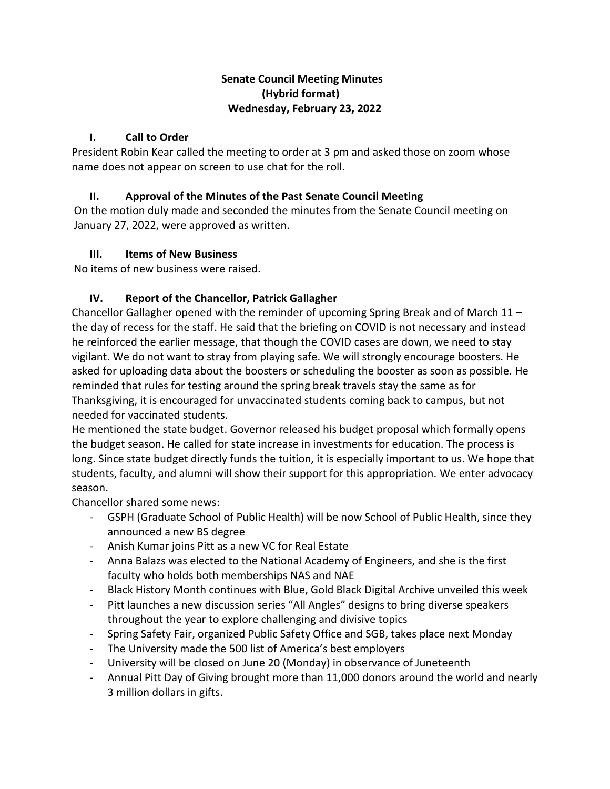## **Senate Council Meeting Minutes (Hybrid format) Wednesday, February 23, 2022**

#### **I. Call to Order**

President Robin Kear called the meeting to order at 3 pm and asked those on zoom whose name does not appear on screen to use chat for the roll.

## **II. Approval of the Minutes of the Past Senate Council Meeting**

On the motion duly made and seconded the minutes from the Senate Council meeting on January 27, 2022, were approved as written.

### **III. Items of New Business**

No items of new business were raised.

# **IV. Report of the Chancellor, Patrick Gallagher**

Chancellor Gallagher opened with the reminder of upcoming Spring Break and of March  $11$ the day of recess for the staff. He said that the briefing on COVID is not necessary and instead he reinforced the earlier message, that though the COVID cases are down, we need to stay vigilant. We do not want to stray from playing safe. We will strongly encourage boosters. He asked for uploading data about the boosters or scheduling the booster as soon as possible. He reminded that rules for testing around the spring break travels stay the same as for Thanksgiving, it is encouraged for unvaccinated students coming back to campus, but not needed for vaccinated students.

He mentioned the state budget. Governor released his budget proposal which formally opens the budget season. He called for state increase in investments for education. The process is long. Since state budget directly funds the tuition, it is especially important to us. We hope that students, faculty, and alumni will show their support for this appropriation. We enter advocacy season.

Chancellor shared some news:

- GSPH (Graduate School of Public Health) will be now School of Public Health, since they announced a new BS degree
- Anish Kumar joins Pitt as a new VC for Real Estate
- Anna Balazs was elected to the National Academy of Engineers, and she is the first faculty who holds both memberships NAS and NAE
- Black History Month continues with Blue, Gold Black Digital Archive unveiled this week
- Pitt launches a new discussion series "All Angles" designs to bring diverse speakers throughout the year to explore challenging and divisive topics
- Spring Safety Fair, organized Public Safety Office and SGB, takes place next Monday
- The University made the 500 list of America's best employers
- University will be closed on June 20 (Monday) in observance of Juneteenth
- Annual Pitt Day of Giving brought more than 11,000 donors around the world and nearly 3 million dollars in gifts.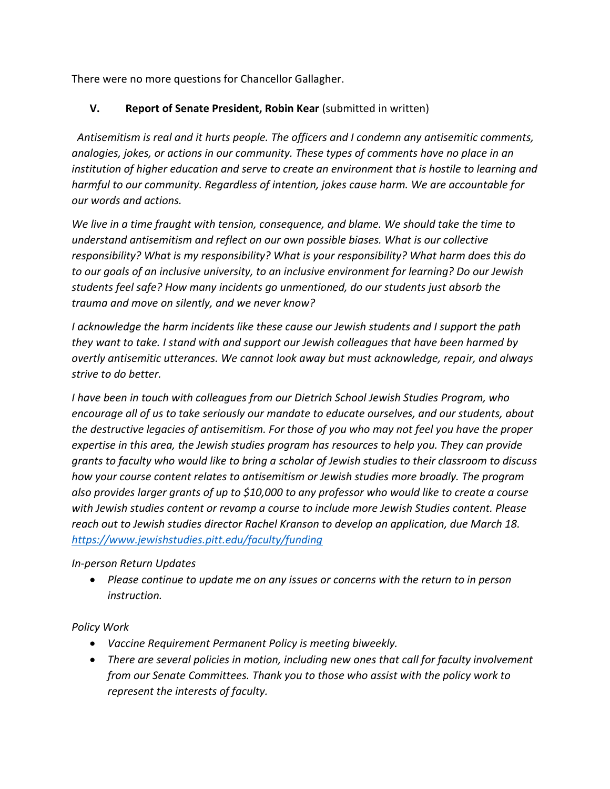There were no more questions for Chancellor Gallagher.

## **V. Report of Senate President, Robin Kear** (submitted in written)

*Antisemitism is real and it hurts people. The officers and I condemn any antisemitic comments, analogies, jokes, or actions in our community. These types of comments have no place in an institution of higher education and serve to create an environment that is hostile to learning and harmful to our community. Regardless of intention, jokes cause harm. We are accountable for our words and actions.* 

*We live in a time fraught with tension, consequence, and blame. We should take the time to understand antisemitism and reflect on our own possible biases. What is our collective responsibility? What is my responsibility? What is your responsibility? What harm does this do to our goals of an inclusive university, to an inclusive environment for learning? Do our Jewish students feel safe? How many incidents go unmentioned, do our students just absorb the trauma and move on silently, and we never know?* 

*I acknowledge the harm incidents like these cause our Jewish students and I support the path they want to take. I stand with and support our Jewish colleagues that have been harmed by overtly antisemitic utterances. We cannot look away but must acknowledge, repair, and always strive to do better.* 

*I have been in touch with colleagues from our Dietrich School Jewish Studies Program, who encourage all of us to take seriously our mandate to educate ourselves, and our students, about the destructive legacies of antisemitism. For those of you who may not feel you have the proper expertise in this area, the Jewish studies program has resources to help you. They can provide grants to faculty who would like to bring a scholar of Jewish studies to their classroom to discuss how your course content relates to antisemitism or Jewish studies more broadly. The program also provides larger grants of up to \$10,000 to any professor who would like to create a course with Jewish studies content or revamp a course to include more Jewish Studies content. Please reach out to Jewish studies director Rachel Kranson to develop an application, due March 18. <https://www.jewishstudies.pitt.edu/faculty/funding>*

#### *In-person Return Updates*

• *Please continue to update me on any issues or concerns with the return to in person instruction.* 

# *Policy Work*

- *Vaccine Requirement Permanent Policy is meeting biweekly.*
- *There are several policies in motion, including new ones that call for faculty involvement from our Senate Committees. Thank you to those who assist with the policy work to represent the interests of faculty.*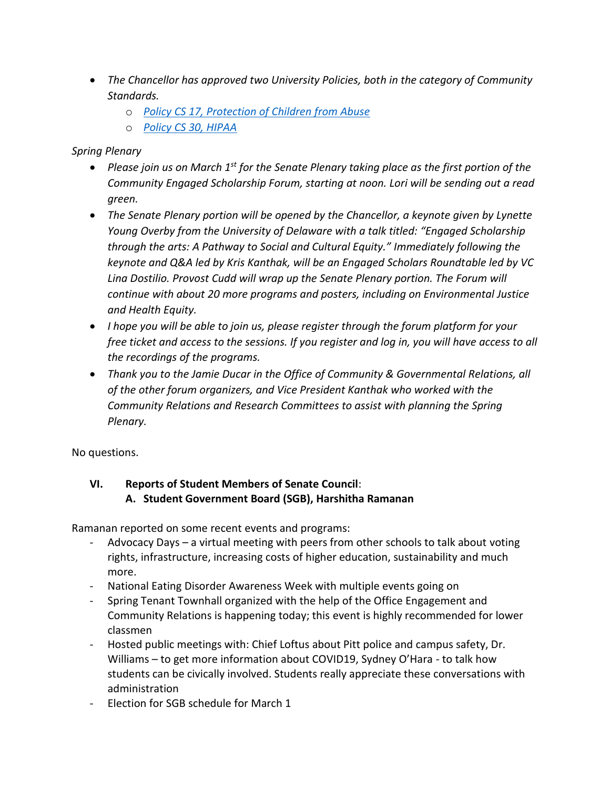- *The Chancellor has approved two University Policies, both in the category of Community Standards.*
	- o *[Policy CS 17, Protection of Children from Abuse](https://www.policy.pitt.edu/cs-17-protection-children-abuse-formerly-06-04-01)*
	- o *[Policy CS 30, HIPAA](https://www.policy.pitt.edu/cs-30-health-insurance-portability-and-accountability-act-hipaa)*

# *Spring Plenary*

- *Please join us on March 1st for the Senate Plenary taking place as the first portion of the Community Engaged Scholarship Forum, starting at noon. Lori will be sending out a read green.*
- *The Senate Plenary portion will be opened by the Chancellor, a keynote given by Lynette Young Overby from the University of Delaware with a talk titled: "Engaged Scholarship through the arts: A Pathway to Social and Cultural Equity." Immediately following the keynote and Q&A led by Kris Kanthak, will be an Engaged Scholars Roundtable led by VC Lina Dostilio. Provost Cudd will wrap up the Senate Plenary portion. The Forum will continue with about 20 more programs and posters, including on Environmental Justice and Health Equity.*
- *I hope you will be able to join us, please register through the forum platform for your free ticket and access to the sessions. If you register and log in, you will have access to all the recordings of the programs.*
- *Thank you to the Jamie Ducar in the Office of Community & Governmental Relations, all of the other forum organizers, and Vice President Kanthak who worked with the Community Relations and Research Committees to assist with planning the Spring Plenary.*

No questions.

# **VI. Reports of Student Members of Senate Council**:  **A. Student Government Board (SGB), Harshitha Ramanan**

Ramanan reported on some recent events and programs:

- Advocacy Days a virtual meeting with peers from other schools to talk about voting rights, infrastructure, increasing costs of higher education, sustainability and much more.
- National Eating Disorder Awareness Week with multiple events going on
- Spring Tenant Townhall organized with the help of the Office Engagement and Community Relations is happening today; this event is highly recommended for lower classmen
- Hosted public meetings with: Chief Loftus about Pitt police and campus safety, Dr. Williams – to get more information about COVID19, Sydney O'Hara - to talk how students can be civically involved. Students really appreciate these conversations with administration
- Election for SGB schedule for March 1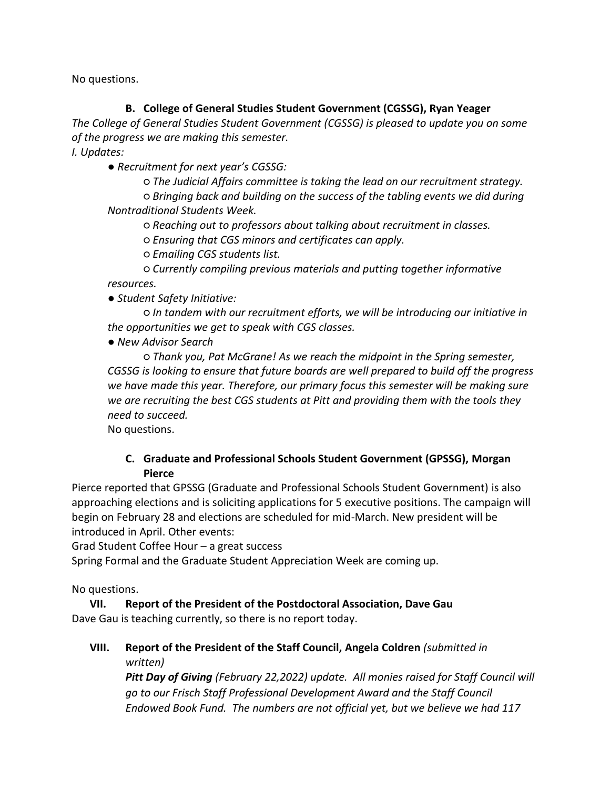No questions.

# **B. College of General Studies Student Government (CGSSG), Ryan Yeager**

*The College of General Studies Student Government (CGSSG) is pleased to update you on some of the progress we are making this semester.* 

*I. Updates:* 

*● Recruitment for next year's CGSSG:* 

*○ The Judicial Affairs committee is taking the lead on our recruitment strategy. ○ Bringing back and building on the success of the tabling events we did during Nontraditional Students Week.* 

*○ Reaching out to professors about talking about recruitment in classes.* 

*○ Ensuring that CGS minors and certificates can apply.* 

*○ Emailing CGS students list.* 

*○ Currently compiling previous materials and putting together informative resources.* 

*● Student Safety Initiative:* 

*○ In tandem with our recruitment efforts, we will be introducing our initiative in the opportunities we get to speak with CGS classes.* 

*● New Advisor Search* 

*○ Thank you, Pat McGrane! As we reach the midpoint in the Spring semester, CGSSG is looking to ensure that future boards are well prepared to build off the progress we have made this year. Therefore, our primary focus this semester will be making sure we are recruiting the best CGS students at Pitt and providing them with the tools they need to succeed.*

No questions.

# **C. Graduate and Professional Schools Student Government (GPSSG), Morgan Pierce**

Pierce reported that GPSSG (Graduate and Professional Schools Student Government) is also approaching elections and is soliciting applications for 5 executive positions. The campaign will begin on February 28 and elections are scheduled for mid-March. New president will be introduced in April. Other events:

Grad Student Coffee Hour – a great success

Spring Formal and the Graduate Student Appreciation Week are coming up.

No questions.

**VII. Report of the President of the Postdoctoral Association, Dave Gau** Dave Gau is teaching currently, so there is no report today.

**VIII. Report of the President of the Staff Council, Angela Coldren** *(submitted in written)*

*Pitt Day of Giving (February 22,2022) update. All monies raised for Staff Council will go to our Frisch Staff Professional Development Award and the Staff Council Endowed Book Fund. The numbers are not official yet, but we believe we had 117*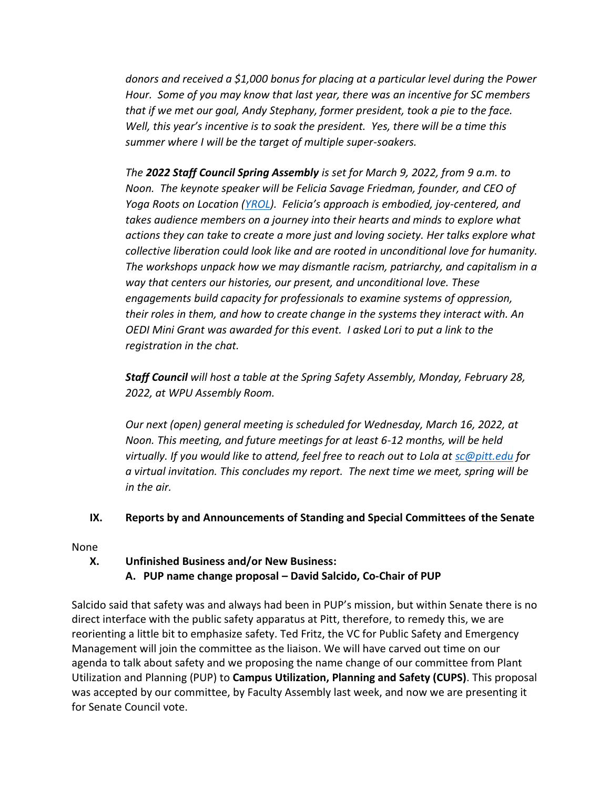*donors and received a \$1,000 bonus for placing at a particular level during the Power Hour. Some of you may know that last year, there was an incentive for SC members that if we met our goal, Andy Stephany, former president, took a pie to the face. Well, this year's incentive is to soak the president. Yes, there will be a time this summer where I will be the target of multiple super-soakers.* 

*The 2022 Staff Council Spring Assembly is set for March 9, 2022, from 9 a.m. to Noon. The keynote speaker will be Felicia Savage Friedman, founder, and CEO of Yoga Roots on Location [\(YROL\)](https://mailingservices-readgreen.cmail20.com/t/j-l-ztudhit-drjrhhhuo-j/). Felicia's approach is embodied, joy-centered, and takes audience members on a journey into their hearts and minds to explore what actions they can take to create a more just and loving society. Her talks explore what collective liberation could look like and are rooted in unconditional love for humanity. The workshops unpack how we may dismantle racism, patriarchy, and capitalism in a way that centers our histories, our present, and unconditional love. These engagements build capacity for professionals to examine systems of oppression, their roles in them, and how to create change in the systems they interact with. An OEDI Mini Grant was awarded for this event. I asked Lori to put a link to the registration in the chat.* 

*Staff Council will host a table at the Spring Safety Assembly, Monday, February 28, 2022, at WPU Assembly Room.* 

*Our next (open) general meeting is scheduled for Wednesday, March 16, 2022, at Noon. This meeting, and future meetings for at least 6-12 months, will be held virtually. If you would like to attend, feel free to reach out to Lola at [sc@pitt.edu](mailto:sc@pitt.edu) for a virtual invitation. This concludes my report. The next time we meet, spring will be in the air.* 

#### **IX. Reports by and Announcements of Standing and Special Committees of the Senate**

#### None

### **X. Unfinished Business and/or New Business: A. PUP name change proposal – David Salcido, Co-Chair of PUP**

Salcido said that safety was and always had been in PUP's mission, but within Senate there is no direct interface with the public safety apparatus at Pitt, therefore, to remedy this, we are reorienting a little bit to emphasize safety. Ted Fritz, the VC for Public Safety and Emergency Management will join the committee as the liaison. We will have carved out time on our agenda to talk about safety and we proposing the name change of our committee from Plant Utilization and Planning (PUP) to **Campus Utilization, Planning and Safety (CUPS)**. This proposal was accepted by our committee, by Faculty Assembly last week, and now we are presenting it for Senate Council vote.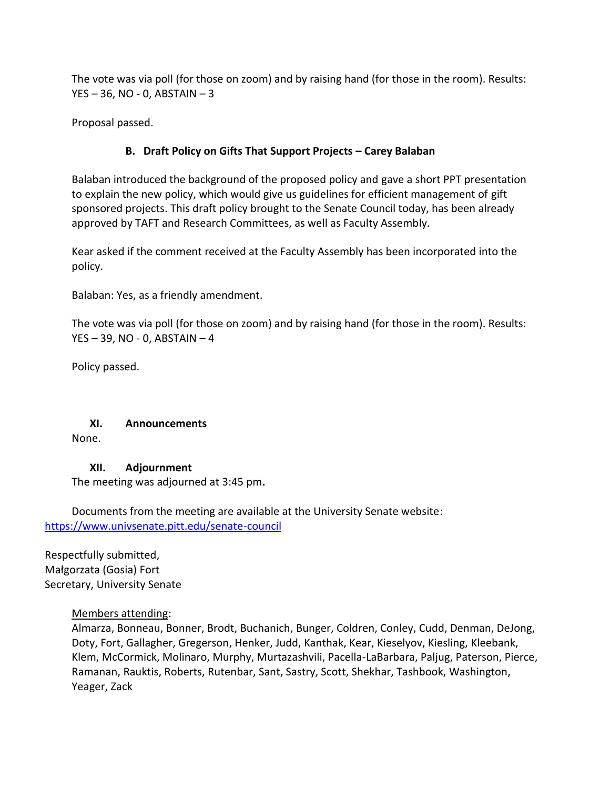The vote was via poll (for those on zoom) and by raising hand (for those in the room). Results:  $YES - 36$ , NO - 0, ABSTAIN  $-3$ 

Proposal passed.

# **B. Draft Policy on Gifts That Support Projects – Carey Balaban**

Balaban introduced the background of the proposed policy and gave a short PPT presentation to explain the new policy, which would give us guidelines for efficient management of gift sponsored projects. This draft policy brought to the Senate Council today, has been already approved by TAFT and Research Committees, as well as Faculty Assembly.

Kear asked if the comment received at the Faculty Assembly has been incorporated into the policy.

Balaban: Yes, as a friendly amendment.

The vote was via poll (for those on zoom) and by raising hand (for those in the room). Results: YES – 39, NO - 0, ABSTAIN – 4

Policy passed.

#### **XI. Announcements**

None.

# **XII. Adjournment**

The meeting was adjourned at 3:45 pm**.**

Documents from the meeting are available at the University Senate website:   <https://www.univsenate.pitt.edu/senate-council>

Respectfully submitted,   Małgorzata (Gosia) Fort  Secretary, University Senate 

#### Members attending:

Almarza, Bonneau, Bonner, Brodt, Buchanich, Bunger, Coldren, Conley, Cudd, Denman, DeJong, Doty, Fort, Gallagher, Gregerson, Henker, Judd, Kanthak, Kear, Kieselyov, Kiesling, Kleebank, Klem, McCormick, Molinaro, Murphy, Murtazashvili, Pacella-LaBarbara, Paljug, Paterson, Pierce, Ramanan, Rauktis, Roberts, Rutenbar, Sant, Sastry, Scott, Shekhar, Tashbook, Washington, Yeager, Zack